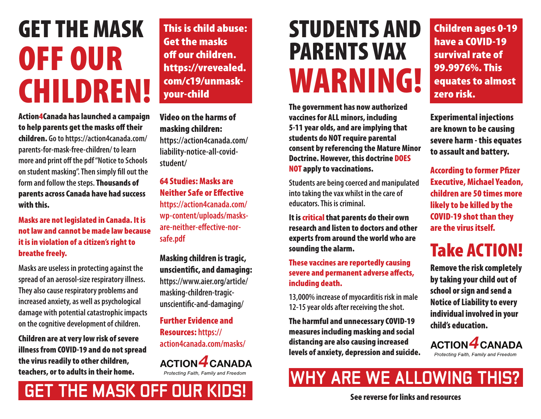# GET THE MASK OFF OUR CHILDREN!

Action4Canada has launched a campaign to help parents get the masks off their children. **Go to https://action4canada.com/ parents-for-mask-free-children/ to learn more and print off the pdf "Notice to Schools on student masking". Then simply fill out the form and follow the steps.** Thousands of parents across Canada have had success with this.

Masks are not legislated in Canada. It is not law and cannot be made law because it is in violation of a citizen's right to breathe freely.

**Masks are useless in protecting against the spread of an aerosol-size respiratory illness. They also cause respiratory problems and increased anxiety, as well as psychological damage with potential catastrophic impacts on the cognitive development of children.**

Children are at very low risk of severe illness from COVID-19 and do not spread the virus readily to other children, teachers, or to adults in their home.

**GET THE MASK OFF OUR KIDS!**

This is child abuse: Get the masks off our children. https://vrevealed. com/c19/unmaskyour-child

Video on the harms of masking children: **https://action4canada.com/ liability-notice-all-covidstudent/**

64 Studies: Masks are Neither Safe or Effective **https://action4canada.com/ wp-content/uploads/masksare-neither-effective-norsafe.pdf**

Masking children is tragic, unscientific, and damaging: **https://www.aier.org/article/ masking-children-tragicunscientific-and-damaging/**

Further Evidence and Resources: **https:// action4canada.com/masks/**

**ACTION 4 CANADA** *Protecting Faith, Family and Freedom*

## STUDENTS AND PARENTS VAX WARNING!

The government has now authorized vaccines for ALL minors, including 5-11 year olds, and are implying that students do NOT require parental consent by referencing the Mature Minor Doctrine. However, this doctrine DOES NOT apply to vaccinations.

**Students are being coerced and manipulated into taking the vax whilst in the care of educators. This is criminal.**

It is critical that parents do their own research and listen to doctors and other experts from around the world who are sounding the alarm.

These vaccines are reportedly causing severe and permanent adverse affects, including death.

**13,000% increase of myocarditis risk in male 12-15 year olds after receiving the shot.**

The harmful and unnecessary COVID-19 measures including masking and social distancing are also causing increased levels of anxiety, depression and suicide.

Children ages 0-19 have a COVID-19 survival rate of 99.9976%. This equates to almost zero risk.

Experimental injections are known to be causing severe harm - this equates to assault and battery.

According to former Pfizer Executive, Michael Yeadon, children are 50 times more likely to be killed by the COVID-19 shot than they are the virus itself.

### Take ACTION!

Remove the risk completely by taking your child out of school or sign and send a Notice of Liability to every individual involved in your child's education.

**ACTION 4 CANADA** *Protecting Faith, Family and Freedom*

### **WHY ARE WE ALLOWING THIS?**

See reverse for links and resources